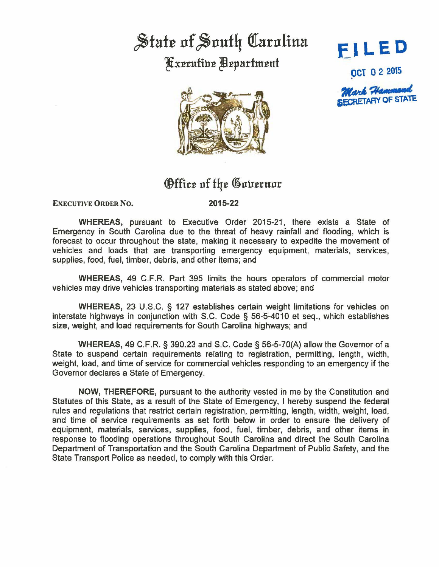## State of South Carolina Fxecutive Department





## Office of the Governor

EXECUTIVE ORDER NO.

2015-22

WHEREAS, pursuant to Executive Order 2015-21, there exists a State of Emergency in South Carolina due to the threat of heavy rainfall and flooding, which is forecast to occur throughout the state, making it necessary to expedite the movement of vehicles and loads that are transporting emergency equipment, materials, services, supplies, food, fuel, timber, debris, and other items; and

WHEREAS, 49 C.F.R. Part 395 limits the hours operators of commercial motor vehicles may drive vehicles transporting materials as stated above; and

WHEREAS, 23 U.S.C. § 127 establishes certain weight limitations for vehicles on interstate highways in conjunction with S.C. Code § 56-5-4010 et seq., which establishes size, weight, and load requirements for South Carolina highways; and

WHEREAS, 49 C.F.R. § 390.23 and S.C. Code§ 56-5-70(A) allow the Governor of a State to suspend certain requirements relating to registration, permitting, length, width, weight, load, and time of service for commercial vehicles responding to an emergency if the Governor declares a State of Emergency.

NOW, THEREFORE, pursuant to the authority vested in me by the Constitution and Statutes of this State, as a result of the State of Emergency, I hereby suspend the federal rules and regulations that restrict certain registration, permitting, length, width, weight, load, and time of service requirements as set forth below in order to ensure the delivery of equipment, materials, services, supplies, food, fuel, timber, debris, and other items in response to flooding operations throughout South Carolina and direct the South Carolina Department of Transportation and the South Carolina Department of Public Safety, and the State Transport Police as needed, to comply with this Ordar.